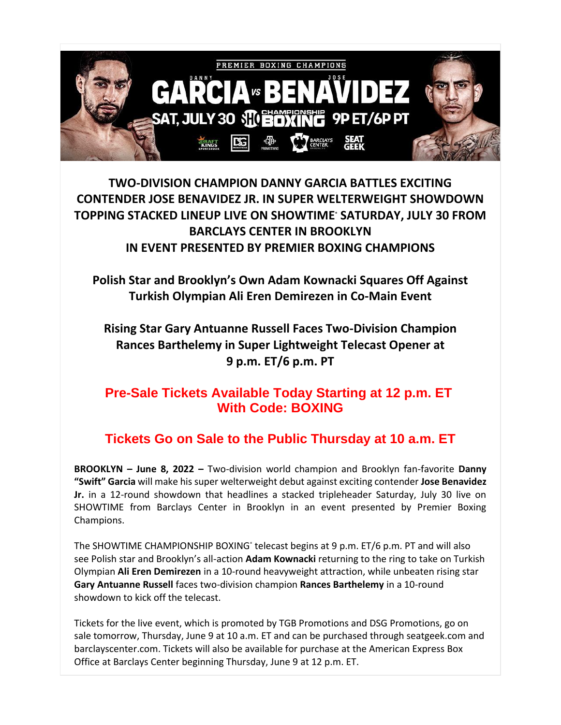

**TWO-DIVISION CHAMPION DANNY GARCIA BATTLES EXCITING CONTENDER JOSE BENAVIDEZ JR. IN SUPER WELTERWEIGHT SHOWDOWN TOPPING STACKED LINEUP LIVE ON SHOWTIME® SATURDAY, JULY 30 FROM BARCLAYS CENTER IN BROOKLYN IN EVENT PRESENTED BY PREMIER BOXING CHAMPIONS**

**Polish Star and Brooklyn's Own Adam Kownacki Squares Off Against Turkish Olympian Ali Eren Demirezen in Co-Main Event**

**Rising Star Gary Antuanne Russell Faces Two-Division Champion Rances Barthelemy in Super Lightweight Telecast Opener at 9 p.m. ET/6 p.m. PT**

## **Pre-Sale Tickets Available Today Starting at 12 p.m. ET With Code: BOXING**

## **Tickets Go on Sale to the Public Thursday at 10 a.m. ET**

**BROOKLYN – June 8, 2022 –** Two-division world champion and Brooklyn fan-favorite **Danny "Swift" Garcia** will make his super welterweight debut against exciting contender **Jose Benavidez Jr.** in a 12-round showdown that headlines a stacked tripleheader Saturday, July 30 live on SHOWTIME from Barclays Center in Brooklyn in an event presented by Premier Boxing Champions.

The SHOWTIME CHAMPIONSHIP BOXING<sup>®</sup> telecast begins at 9 p.m. ET/6 p.m. PT and will also see Polish star and Brooklyn's all-action **Adam Kownacki** returning to the ring to take on Turkish Olympian **Ali Eren Demirezen** in a 10-round heavyweight attraction, while unbeaten rising star **Gary Antuanne Russell** faces two-division champion **Rances Barthelemy** in a 10-round showdown to kick off the telecast.

Tickets for the live event, which is promoted by TGB Promotions and DSG Promotions, go on sale tomorrow, Thursday, June 9 at 10 a.m. ET and can be purchased through seatgeek.com and barclayscenter.com. Tickets will also be available for purchase at the American Express Box Office at Barclays Center beginning Thursday, June 9 at 12 p.m. ET.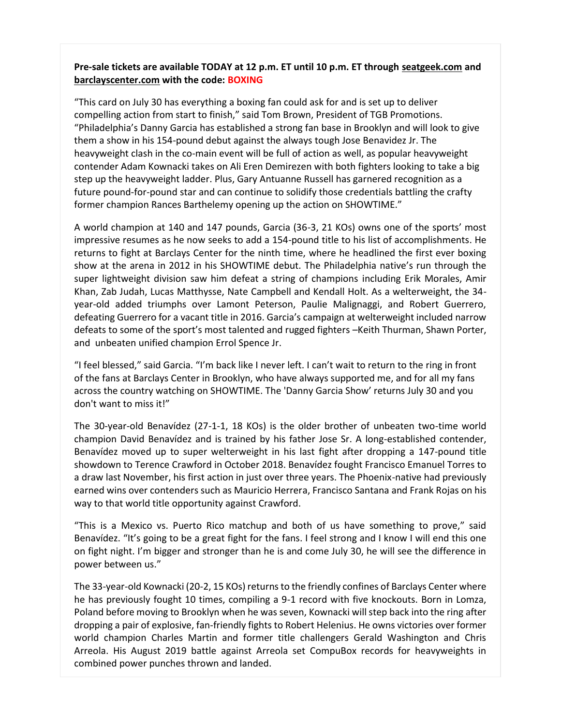## **Pre-sale tickets are available TODAY at 12 p.m. ET until 10 p.m. ET through [seatgeek.com](https://r20.rs6.net/tn.jsp?f=001X0gtWPSfG94gz2GO9pntoIQY06biHU4a_OAyAUJtzsCTzzB1oa4uu4wn53pqt1ZwVXkGZ_oeloF-QMD6EYDvIQFnQakmlOTSsuC-ku67e80LlGAqLWGytobrkGYxr-P2Eoc6wxMl07bWhBc9pu3JIZOv8J7czaLk-K0P_12FAmQ=&c=i-zPW6iTU0FU578Ew3f0y_a5KXYMzCCcf45nOb3eO51mH3gjTvichw==&ch=X3Qqa8rCVfNMGJkZsGq0hVP3gnkA7Uiop6naJYSBdlP4DI6QYouuXA==) and [barclayscenter.com](https://r20.rs6.net/tn.jsp?f=001X0gtWPSfG94gz2GO9pntoIQY06biHU4a_OAyAUJtzsCTzzB1oa4uu1dQG7FS0A_hJIlJfAptzPB2F4__shacwVikGSOSeY7pWk8OztRqwupWONyMefVFpIiOnjgnYdfGFXjOP5Rnn_hsk0iS6DI2ng==&c=i-zPW6iTU0FU578Ew3f0y_a5KXYMzCCcf45nOb3eO51mH3gjTvichw==&ch=X3Qqa8rCVfNMGJkZsGq0hVP3gnkA7Uiop6naJYSBdlP4DI6QYouuXA==) with the code: BOXING**

"This card on July 30 has everything a boxing fan could ask for and is set up to deliver compelling action from start to finish," said Tom Brown, President of TGB Promotions. "Philadelphia's Danny Garcia has established a strong fan base in Brooklyn and will look to give them a show in his 154-pound debut against the always tough Jose Benavidez Jr. The heavyweight clash in the co-main event will be full of action as well, as popular heavyweight contender Adam Kownacki takes on Ali Eren Demirezen with both fighters looking to take a big step up the heavyweight ladder. Plus, Gary Antuanne Russell has garnered recognition as a future pound-for-pound star and can continue to solidify those credentials battling the crafty former champion Rances Barthelemy opening up the action on SHOWTIME."

A world champion at 140 and 147 pounds, Garcia (36-3, 21 KOs) owns one of the sports' most impressive resumes as he now seeks to add a 154-pound title to his list of accomplishments. He returns to fight at Barclays Center for the ninth time, where he headlined the first ever boxing show at the arena in 2012 in his SHOWTIME debut. The Philadelphia native's run through the super lightweight division saw him defeat a string of champions including Erik Morales, Amir Khan, Zab Judah, Lucas Matthysse, Nate Campbell and Kendall Holt. As a welterweight, the 34 year-old added triumphs over Lamont Peterson, Paulie Malignaggi, and Robert Guerrero, defeating Guerrero for a vacant title in 2016. Garcia's campaign at welterweight included narrow defeats to some of the sport's most talented and rugged fighters –Keith Thurman, Shawn Porter, and unbeaten unified champion Errol Spence Jr.

"I feel blessed," said Garcia. "I'm back like I never left. I can't wait to return to the ring in front of the fans at Barclays Center in Brooklyn, who have always supported me, and for all my fans across the country watching on SHOWTIME. The 'Danny Garcia Show' returns July 30 and you don't want to miss it!"

The 30-year-old Benavídez (27-1-1, 18 KOs) is the older brother of unbeaten two-time world champion David Benavídez and is trained by his father Jose Sr. A long-established contender, Benavídez moved up to super welterweight in his last fight after dropping a 147-pound title showdown to Terence Crawford in October 2018. Benavídez fought Francisco Emanuel Torres to a draw last November, his first action in just over three years. The Phoenix-native had previously earned wins over contenders such as Mauricio Herrera, Francisco Santana and Frank Rojas on his way to that world title opportunity against Crawford.

"This is a Mexico vs. Puerto Rico matchup and both of us have something to prove," said Benavídez. "It's going to be a great fight for the fans. I feel strong and I know I will end this one on fight night. I'm bigger and stronger than he is and come July 30, he will see the difference in power between us."

The 33-year-old Kownacki (20-2, 15 KOs) returns to the friendly confines of Barclays Center where he has previously fought 10 times, compiling a 9-1 record with five knockouts. Born in Lomza, Poland before moving to Brooklyn when he was seven, Kownacki will step back into the ring after dropping a pair of explosive, fan-friendly fights to Robert Helenius. He owns victories over former world champion Charles Martin and former title challengers Gerald Washington and Chris Arreola. His August 2019 battle against Arreola set CompuBox records for heavyweights in combined power punches thrown and landed.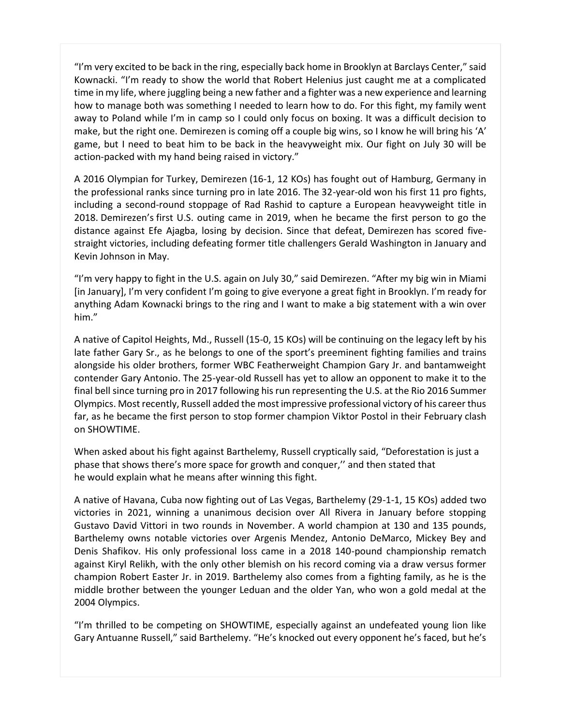"I'm very excited to be back in the ring, especially back home in Brooklyn at Barclays Center," said Kownacki. "I'm ready to show the world that Robert Helenius just caught me at a complicated time in my life, where juggling being a new father and a fighter was a new experience and learning how to manage both was something I needed to learn how to do. For this fight, my family went away to Poland while I'm in camp so I could only focus on boxing. It was a difficult decision to make, but the right one. Demirezen is coming off a couple big wins, so I know he will bring his 'A' game, but I need to beat him to be back in the heavyweight mix. Our fight on July 30 will be action-packed with my hand being raised in victory."

A 2016 Olympian for Turkey, Demirezen (16-1, 12 KOs) has fought out of Hamburg, Germany in the professional ranks since turning pro in late 2016. The 32-year-old won his first 11 pro fights, including a second-round stoppage of Rad Rashid to capture a European heavyweight title in 2018. Demirezen's first U.S. outing came in 2019, when he became the first person to go the distance against Efe Ajagba, losing by decision. Since that defeat, Demirezen has scored fivestraight victories, including defeating former title challengers Gerald Washington in January and Kevin Johnson in May.

"I'm very happy to fight in the U.S. again on July 30," said Demirezen. "After my big win in Miami [in January], I'm very confident I'm going to give everyone a great fight in Brooklyn. I'm ready for anything Adam Kownacki brings to the ring and I want to make a big statement with a win over him."

A native of Capitol Heights, Md., Russell (15-0, 15 KOs) will be continuing on the legacy left by his late father Gary Sr., as he belongs to one of the sport's preeminent fighting families and trains alongside his older brothers, former WBC Featherweight Champion Gary Jr. and bantamweight contender Gary Antonio. The 25-year-old Russell has yet to allow an opponent to make it to the final bell since turning pro in 2017 following his run representing the U.S. at the Rio 2016 Summer Olympics. Most recently, Russell added the most impressive professional victory of his career thus far, as he became the first person to stop former champion Viktor Postol in their February clash on SHOWTIME.

When asked about his fight against Barthelemy, Russell cryptically said, "Deforestation is just a phase that shows there's more space for growth and conquer,'' and then stated that he would explain what he means after winning this fight.

A native of Havana, Cuba now fighting out of Las Vegas, Barthelemy (29-1-1, 15 KOs) added two victories in 2021, winning a unanimous decision over All Rivera in January before stopping Gustavo David Vittori in two rounds in November. A world champion at 130 and 135 pounds, Barthelemy owns notable victories over Argenis Mendez, Antonio DeMarco, Mickey Bey and Denis Shafikov. His only professional loss came in a 2018 140-pound championship rematch against Kiryl Relikh, with the only other blemish on his record coming via a draw versus former champion Robert Easter Jr. in 2019. Barthelemy also comes from a fighting family, as he is the middle brother between the younger Leduan and the older Yan, who won a gold medal at the 2004 Olympics.

"I'm thrilled to be competing on SHOWTIME, especially against an undefeated young lion like Gary Antuanne Russell," said Barthelemy. "He's knocked out every opponent he's faced, but he's